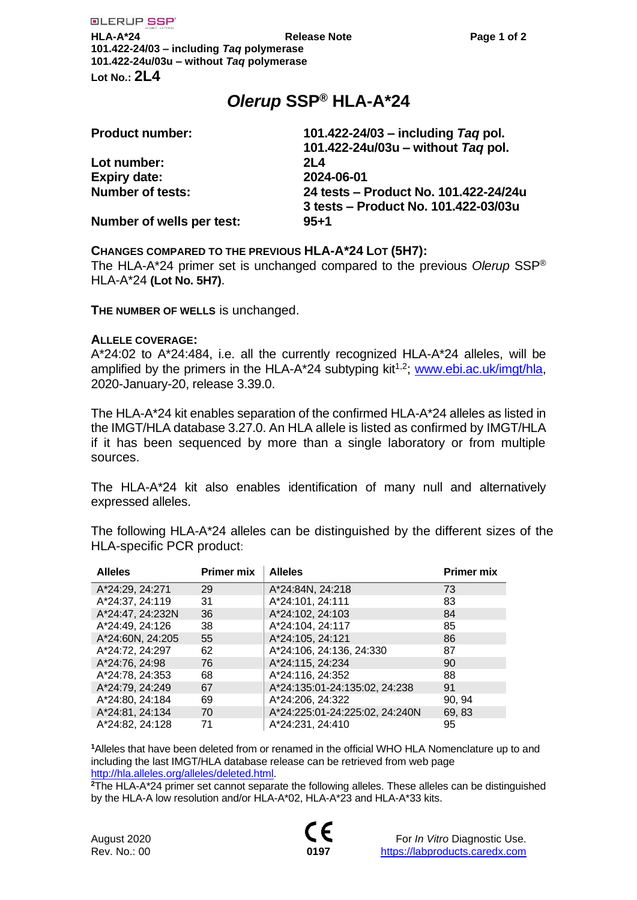# *Olerup* **SSP® HLA-A\*24**

| 101.422-24/03 - including Tag pol.    |
|---------------------------------------|
| 101.422-24u/03u - without Tag pol.    |
| 2L4                                   |
| 2024-06-01                            |
| 24 tests - Product No. 101.422-24/24u |
| 3 tests – Product No. 101.422-03/03u  |
| $95 + 1$                              |
|                                       |

## **CHANGES COMPARED TO THE PREVIOUS HLA-A\*24 LOT (5H7):**

The HLA-A\*24 primer set is unchanged compared to the previous *Olerup* SSP® HLA-A\*24 **(Lot No. 5H7)**.

**THE NUMBER OF WELLS** is unchanged.

### **ALLELE COVERAGE:**

A\*24:02 to A\*24:484, i.e. all the currently recognized HLA-A\*24 alleles, will be amplified by the primers in the HLA-A\*24 subtyping kit<sup>1,2</sup>; [www.ebi.ac.uk/imgt/hla,](http://www.ebi.ac.uk/imgt/hla) 2020-January-20, release 3.39.0.

The HLA-A\*24 kit enables separation of the confirmed HLA-A\*24 alleles as listed in the IMGT/HLA database 3.27.0. An HLA allele is listed as confirmed by IMGT/HLA if it has been sequenced by more than a single laboratory or from multiple sources.

The HLA-A\*24 kit also enables identification of many null and alternatively expressed alleles.

The following HLA-A\*24 alleles can be distinguished by the different sizes of the HLA-specific PCR product:

| <b>Alleles</b>   | <b>Primer mix</b> | <b>Alleles</b>                 | <b>Primer mix</b> |
|------------------|-------------------|--------------------------------|-------------------|
| A*24:29, 24:271  | 29                | A*24:84N, 24:218               | 73                |
| A*24:37, 24:119  | 31                | A*24:101, 24:111               | 83                |
| A*24:47, 24:232N | 36                | A*24:102, 24:103               | 84                |
| A*24:49, 24:126  | 38                | A*24:104, 24:117               | 85                |
| A*24:60N, 24:205 | 55                | A*24:105, 24:121               | 86                |
| A*24:72, 24:297  | 62                | A*24:106, 24:136, 24:330       | 87                |
| A*24:76, 24:98   | 76                | A*24:115, 24:234               | 90                |
| A*24:78, 24:353  | 68                | A*24:116, 24:352               | 88                |
| A*24:79, 24:249  | 67                | A*24:135:01-24:135:02, 24:238  | 91                |
| A*24:80, 24:184  | 69                | A*24:206, 24:322               | 90, 94            |
| A*24:81, 24:134  | 70                | A*24:225:01-24:225:02, 24:240N | 69, 83            |
| A*24:82, 24:128  | 71                | A*24:231, 24:410               | 95                |

**<sup>1</sup>**Alleles that have been deleted from or renamed in the official WHO HLA Nomenclature up to and including the last IMGT/HLA database release can be retrieved from web page [http://hla.alleles.org/alleles/deleted.html.](http://hla.alleles.org/alleles/deleted.html)

**<sup>2</sup>**The HLA-A\*24 primer set cannot separate the following alleles. These alleles can be distinguished by the HLA-A low resolution and/or HLA-A\*02, HLA-A\*23 and HLA-A\*33 kits.